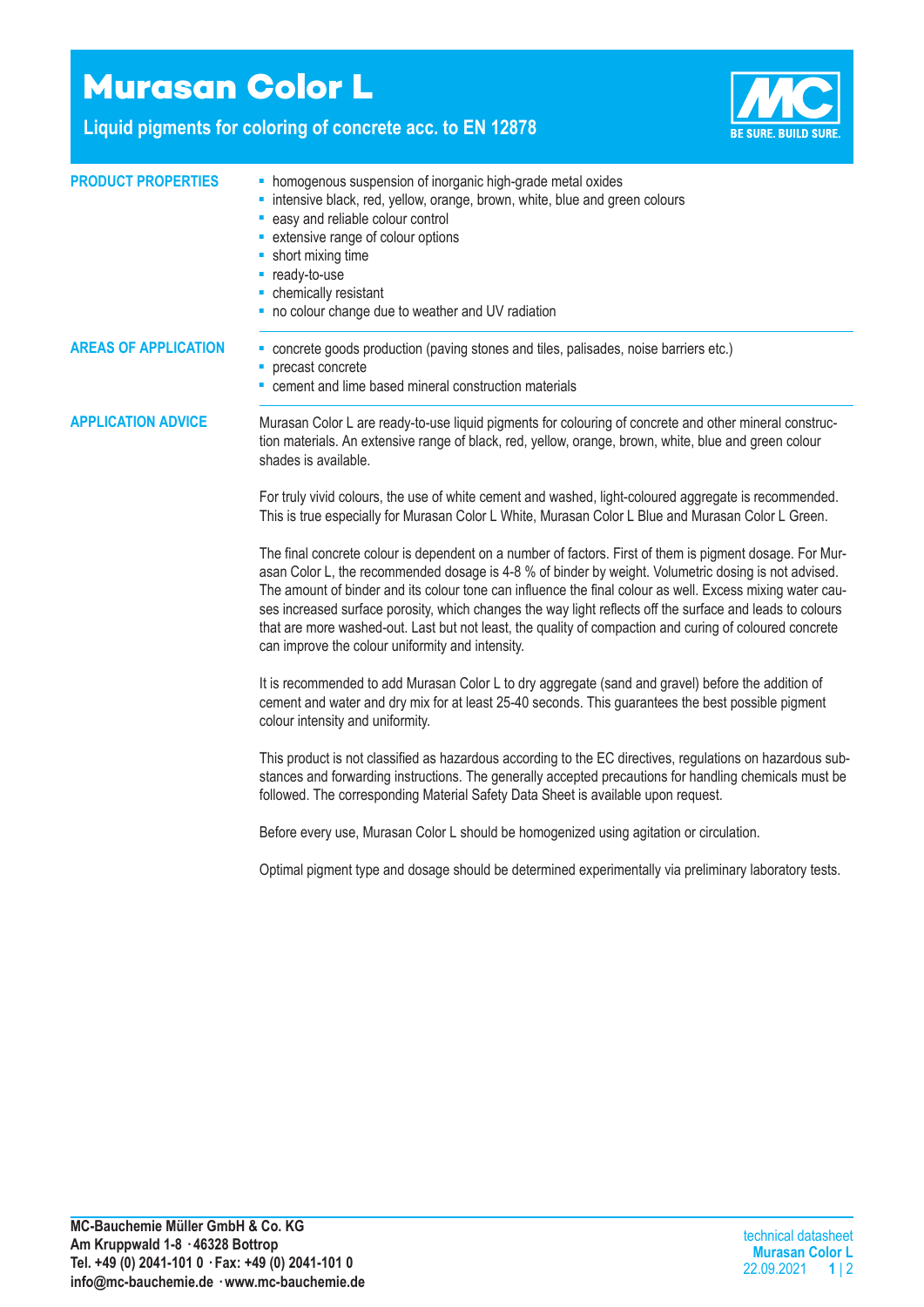## **Murasan Color L**

**Liquid pigments for coloring of concrete acc. to EN 12878**



| <b>PRODUCT PROPERTIES</b>   | • homogenous suspension of inorganic high-grade metal oxides<br>· intensive black, red, yellow, orange, brown, white, blue and green colours<br>- easy and reliable colour control<br>• extensive range of colour options<br>• short mixing time<br>- ready-to-use<br>- chemically resistant<br>- no colour change due to weather and UV radiation                                                                                                                                                                                                                                                        |  |  |  |
|-----------------------------|-----------------------------------------------------------------------------------------------------------------------------------------------------------------------------------------------------------------------------------------------------------------------------------------------------------------------------------------------------------------------------------------------------------------------------------------------------------------------------------------------------------------------------------------------------------------------------------------------------------|--|--|--|
| <b>AREAS OF APPLICATION</b> | - concrete goods production (paving stones and tiles, palisades, noise barriers etc.)<br>• precast concrete<br>• cement and lime based mineral construction materials                                                                                                                                                                                                                                                                                                                                                                                                                                     |  |  |  |
| <b>APPLICATION ADVICE</b>   | Murasan Color L are ready-to-use liquid pigments for colouring of concrete and other mineral construc-<br>tion materials. An extensive range of black, red, yellow, orange, brown, white, blue and green colour<br>shades is available.                                                                                                                                                                                                                                                                                                                                                                   |  |  |  |
|                             | For truly vivid colours, the use of white cement and washed, light-coloured aggregate is recommended.<br>This is true especially for Murasan Color L White, Murasan Color L Blue and Murasan Color L Green.                                                                                                                                                                                                                                                                                                                                                                                               |  |  |  |
|                             | The final concrete colour is dependent on a number of factors. First of them is pigment dosage. For Mur-<br>asan Color L, the recommended dosage is 4-8 % of binder by weight. Volumetric dosing is not advised.<br>The amount of binder and its colour tone can influence the final colour as well. Excess mixing water cau-<br>ses increased surface porosity, which changes the way light reflects off the surface and leads to colours<br>that are more washed-out. Last but not least, the quality of compaction and curing of coloured concrete<br>can improve the colour uniformity and intensity. |  |  |  |
|                             | It is recommended to add Murasan Color L to dry aggregate (sand and gravel) before the addition of<br>cement and water and dry mix for at least 25-40 seconds. This guarantees the best possible pigment<br>colour intensity and uniformity.                                                                                                                                                                                                                                                                                                                                                              |  |  |  |
|                             | This product is not classified as hazardous according to the EC directives, regulations on hazardous sub-<br>stances and forwarding instructions. The generally accepted precautions for handling chemicals must be<br>followed. The corresponding Material Safety Data Sheet is available upon request.                                                                                                                                                                                                                                                                                                  |  |  |  |
|                             | Before every use, Murasan Color L should be homogenized using agitation or circulation.                                                                                                                                                                                                                                                                                                                                                                                                                                                                                                                   |  |  |  |
|                             | Optimal pigment type and dosage should be determined experimentally via preliminary laboratory tests.                                                                                                                                                                                                                                                                                                                                                                                                                                                                                                     |  |  |  |